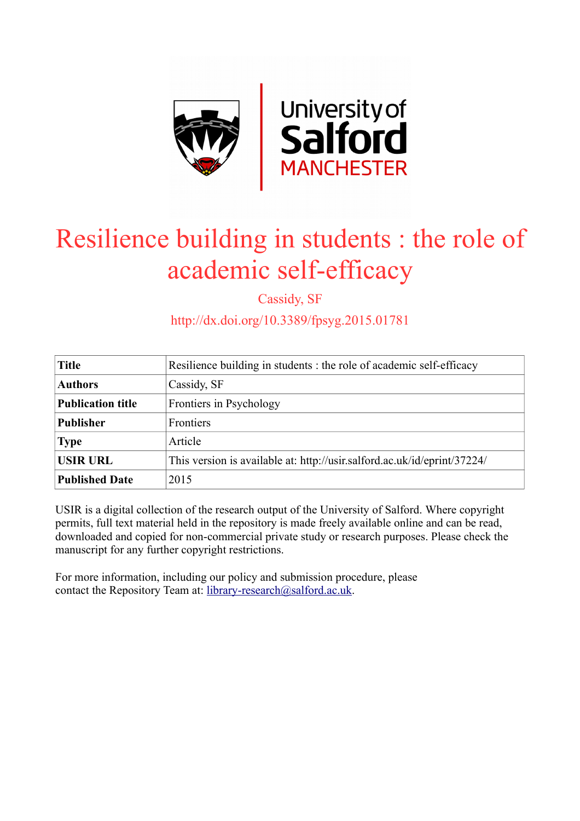

# Resilience building in students : the role of academic self-efficacy

Cassidy, SF

http://dx.doi.org/10.3389/fpsyg.2015.01781

| <b>Title</b>             | Resilience building in students : the role of academic self-efficacy     |
|--------------------------|--------------------------------------------------------------------------|
| <b>Authors</b>           | Cassidy, SF                                                              |
| <b>Publication title</b> | Frontiers in Psychology                                                  |
| <b>Publisher</b>         | Frontiers                                                                |
| <b>Type</b>              | Article                                                                  |
| <b>USIR URL</b>          | This version is available at: http://usir.salford.ac.uk/id/eprint/37224/ |
| <b>Published Date</b>    | 2015                                                                     |

USIR is a digital collection of the research output of the University of Salford. Where copyright permits, full text material held in the repository is made freely available online and can be read, downloaded and copied for non-commercial private study or research purposes. Please check the manuscript for any further copyright restrictions.

For more information, including our policy and submission procedure, please contact the Repository Team at: [library-research@salford.ac.uk.](mailto:library-research@salford.ac.uk)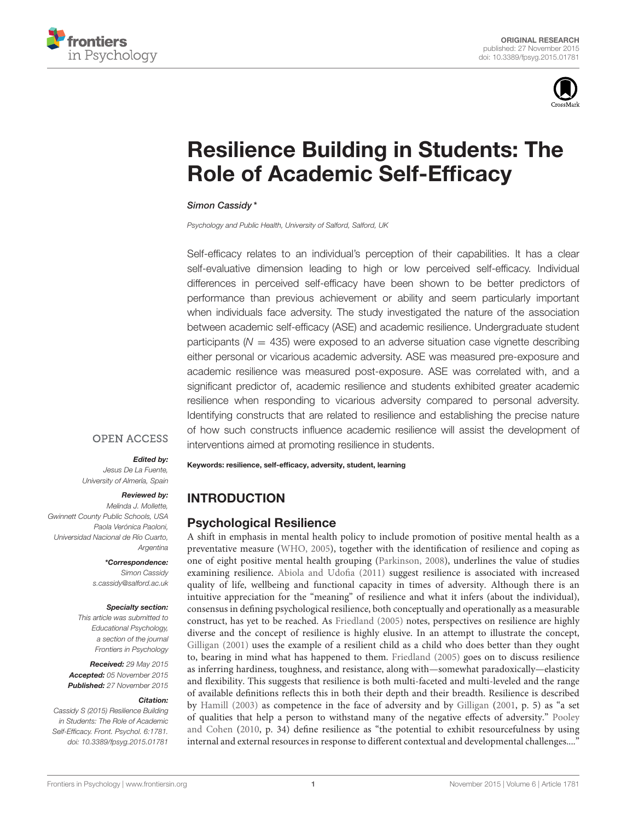



# [Resilience Building in Students: The](http://journal.frontiersin.org/article/10.3389/fpsyg.2015.01781/abstract) Role of Academic Self-Efficacy

#### [Simon Cassidy](http://loop.frontiersin.org/people/240144/overview) \*

Psychology and Public Health, University of Salford, Salford, UK

Self-efficacy relates to an individual's perception of their capabilities. It has a clear self-evaluative dimension leading to high or low perceived self-efficacy. Individual differences in perceived self-efficacy have been shown to be better predictors of performance than previous achievement or ability and seem particularly important when individuals face adversity. The study investigated the nature of the association between academic self-efficacy (ASE) and academic resilience. Undergraduate student participants ( $N = 435$ ) were exposed to an adverse situation case vignette describing either personal or vicarious academic adversity. ASE was measured pre-exposure and academic resilience was measured post-exposure. ASE was correlated with, and a significant predictor of, academic resilience and students exhibited greater academic resilience when responding to vicarious adversity compared to personal adversity. Identifying constructs that are related to resilience and establishing the precise nature of how such constructs influence academic resilience will assist the development of interventions aimed at promoting resilience in students.

# **OPEN ACCESS**

#### Edited by:

Jesus De La Fuente, University of Almería, Spain

#### Reviewed by:

Melinda J. Mollette, Gwinnett County Public Schools, USA Paola Verónica Paoloni, Universidad Nacional de Río Cuarto, Argentina

> \*Correspondence: Simon Cassidy [s.cassidy@salford.ac.uk](mailto:s.cassidy@salford.ac.uk)

#### Specialty section:

This article was submitted to Educational Psychology, a section of the journal Frontiers in Psychology

Received: 29 May 2015 Accepted: 05 November 2015 Published: 27 November 2015

#### Citation:

Cassidy S (2015) Resilience Building in Students: The Role of Academic Self-Efficacy. Front. Psychol. 6:1781. doi: [10.3389/fpsyg.2015.01781](http://dx.doi.org/10.3389/fpsyg.2015.01781) Keywords: resilience, self-efficacy, adversity, student, learning

# INTRODUCTION

# Psychological Resilience

A shift in emphasis in mental health policy to include promotion of positive mental health as a preventative measure [\(WHO, 2005\)](#page-14-0), together with the identification of resilience and coping as one of eight positive mental health grouping [\(Parkinson, 2008\)](#page-14-1), underlines the value of studies examining resilience. [Abiola and Udofia \(2011\)](#page-13-0) suggest resilience is associated with increased quality of life, wellbeing and functional capacity in times of adversity. Although there is an intuitive appreciation for the "meaning" of resilience and what it infers (about the individual), consensus in defining psychological resilience, both conceptually and operationally as a measurable construct, has yet to be reached. As [Friedland \(2005\)](#page-13-1) notes, perspectives on resilience are highly diverse and the concept of resilience is highly elusive. In an attempt to illustrate the concept, [Gilligan \(2001\)](#page-14-2) uses the example of a resilient child as a child who does better than they ought to, bearing in mind what has happened to them. [Friedland \(2005\)](#page-13-1) goes on to discuss resilience as inferring hardiness, toughness, and resistance, along with—somewhat paradoxically—elasticity and flexibility. This suggests that resilience is both multi-faceted and multi-leveled and the range of available definitions reflects this in both their depth and their breadth. Resilience is described by [Hamill \(2003\)](#page-14-3) as competence in the face of adversity and by [Gilligan](#page-14-2) [\(2001,](#page-14-2) p. 5) as "a set of qualities that help a person to withstand many of the negative effects of adversity." Pooley and Cohen [\(2010,](#page-14-4) p. 34) define resilience as "the potential to exhibit resourcefulness by using internal and external resources in response to different contextual and developmental challenges...."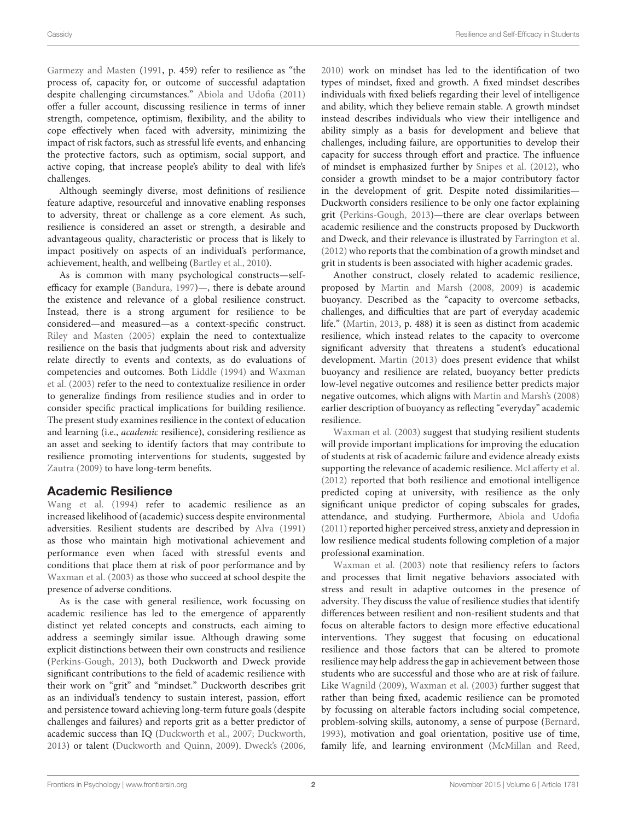[Garmezy and Masten](#page-13-2) [\(1991,](#page-13-2) p. 459) refer to resilience as "the process of, capacity for, or outcome of successful adaptation despite challenging circumstances." [Abiola and Udofia \(2011\)](#page-13-0) offer a fuller account, discussing resilience in terms of inner strength, competence, optimism, flexibility, and the ability to cope effectively when faced with adversity, minimizing the impact of risk factors, such as stressful life events, and enhancing the protective factors, such as optimism, social support, and active coping, that increase people's ability to deal with life's challenges.

Although seemingly diverse, most definitions of resilience feature adaptive, resourceful and innovative enabling responses to adversity, threat or challenge as a core element. As such, resilience is considered an asset or strength, a desirable and advantageous quality, characteristic or process that is likely to impact positively on aspects of an individual's performance, achievement, health, and wellbeing [\(Bartley et al., 2010\)](#page-13-3).

As is common with many psychological constructs—selfefficacy for example [\(Bandura, 1997\)](#page-13-4)—, there is debate around the existence and relevance of a global resilience construct. Instead, there is a strong argument for resilience to be considered—and measured—as a context-specific construct. [Riley and Masten \(2005\)](#page-14-5) explain the need to contextualize resilience on the basis that judgments about risk and adversity relate directly to events and contexts, as do evaluations of competencies and outcomes. Both [Liddle \(1994\)](#page-14-6) and Waxman et al. [\(2003\)](#page-14-7) refer to the need to contextualize resilience in order to generalize findings from resilience studies and in order to consider specific practical implications for building resilience. The present study examines resilience in the context of education and learning (i.e., academic resilience), considering resilience as an asset and seeking to identify factors that may contribute to resilience promoting interventions for students, suggested by [Zautra \(2009\)](#page-14-8) to have long-term benefits.

# Academic Resilience

[Wang et al. \(1994\)](#page-14-9) refer to academic resilience as an increased likelihood of (academic) success despite environmental adversities. Resilient students are described by [Alva \(1991\)](#page-13-5) as those who maintain high motivational achievement and performance even when faced with stressful events and conditions that place them at risk of poor performance and by [Waxman et al. \(2003\)](#page-14-7) as those who succeed at school despite the presence of adverse conditions.

As is the case with general resilience, work focussing on academic resilience has led to the emergence of apparently distinct yet related concepts and constructs, each aiming to address a seemingly similar issue. Although drawing some explicit distinctions between their own constructs and resilience [\(Perkins-Gough, 2013\)](#page-14-10), both Duckworth and Dweck provide significant contributions to the field of academic resilience with their work on "grit" and "mindset." Duckworth describes grit as an individual's tendency to sustain interest, passion, effort and persistence toward achieving long-term future goals (despite challenges and failures) and reports grit as a better predictor of academic success than IQ [\(Duckworth et al., 2007;](#page-13-6) [Duckworth,](#page-13-7) [2013\)](#page-13-7) or talent [\(Duckworth and Quinn, 2009\)](#page-13-8). [Dweck's \(2006,](#page-13-9) [2010\)](#page-13-10) work on mindset has led to the identification of two types of mindset, fixed and growth. A fixed mindset describes individuals with fixed beliefs regarding their level of intelligence and ability, which they believe remain stable. A growth mindset instead describes individuals who view their intelligence and ability simply as a basis for development and believe that challenges, including failure, are opportunities to develop their capacity for success through effort and practice. The influence of mindset is emphasized further by [Snipes et al. \(2012\)](#page-14-11), who consider a growth mindset to be a major contributory factor in the development of grit. Despite noted dissimilarities— Duckworth considers resilience to be only one factor explaining grit [\(Perkins-Gough, 2013\)](#page-14-10)—there are clear overlaps between academic resilience and the constructs proposed by Duckworth and Dweck, and their relevance is illustrated by [Farrington et al.](#page-13-11) [\(2012\)](#page-13-11) who reports that the combination of a growth mindset and grit in students is been associated with higher academic grades.

Another construct, closely related to academic resilience, proposed by [Martin and Marsh \(2008,](#page-14-12) [2009\)](#page-14-13) is academic buoyancy. Described as the "capacity to overcome setbacks, challenges, and difficulties that are part of everyday academic life." [\(Martin, 2013,](#page-14-14) p. 488) it is seen as distinct from academic resilience, which instead relates to the capacity to overcome significant adversity that threatens a student's educational development. [Martin \(2013\)](#page-14-14) does present evidence that whilst buoyancy and resilience are related, buoyancy better predicts low-level negative outcomes and resilience better predicts major negative outcomes, which aligns with [Martin and Marsh's \(2008\)](#page-14-12) earlier description of buoyancy as reflecting "everyday" academic resilience.

[Waxman et al. \(2003\)](#page-14-7) suggest that studying resilient students will provide important implications for improving the education of students at risk of academic failure and evidence already exists supporting the relevance of academic resilience. [McLafferty et al.](#page-14-15) [\(2012\)](#page-14-15) reported that both resilience and emotional intelligence predicted coping at university, with resilience as the only significant unique predictor of coping subscales for grades, attendance, and studying. Furthermore, [Abiola and Udofia](#page-13-0) [\(2011\)](#page-13-0) reported higher perceived stress, anxiety and depression in low resilience medical students following completion of a major professional examination.

[Waxman et al. \(2003\)](#page-14-7) note that resiliency refers to factors and processes that limit negative behaviors associated with stress and result in adaptive outcomes in the presence of adversity. They discuss the value of resilience studies that identify differences between resilient and non-resilient students and that focus on alterable factors to design more effective educational interventions. They suggest that focusing on educational resilience and those factors that can be altered to promote resilience may help address the gap in achievement between those students who are successful and those who are at risk of failure. Like [Wagnild \(2009\)](#page-14-16), [Waxman et al. \(2003\)](#page-14-7) further suggest that rather than being fixed, academic resilience can be promoted by focussing on alterable factors including social competence, problem-solving skills, autonomy, a sense of purpose [\(Bernard,](#page-13-12) [1993\)](#page-13-12), motivation and goal orientation, positive use of time, family life, and learning environment [\(McMillan and Reed,](#page-14-17)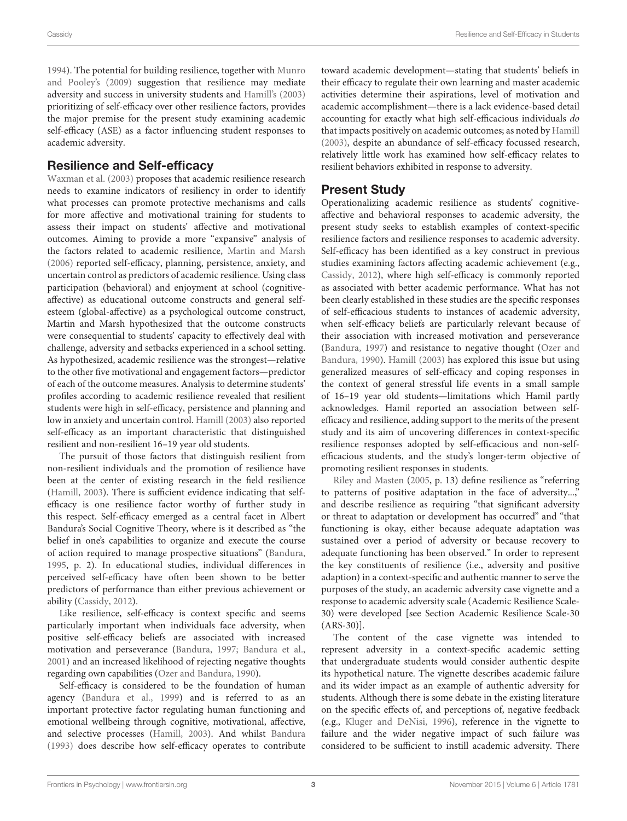[1994\)](#page-14-17). The potential for building resilience, together with Munro and Pooley's [\(2009\)](#page-14-18) suggestion that resilience may mediate adversity and success in university students and [Hamill's \(2003\)](#page-14-3) prioritizing of self-efficacy over other resilience factors, provides the major premise for the present study examining academic self-efficacy (ASE) as a factor influencing student responses to academic adversity.

# Resilience and Self-efficacy

[Waxman et al. \(2003\)](#page-14-7) proposes that academic resilience research needs to examine indicators of resiliency in order to identify what processes can promote protective mechanisms and calls for more affective and motivational training for students to assess their impact on students' affective and motivational outcomes. Aiming to provide a more "expansive" analysis of the factors related to academic resilience, [Martin and Marsh](#page-14-19) [\(2006\)](#page-14-19) reported self-efficacy, planning, persistence, anxiety, and uncertain control as predictors of academic resilience. Using class participation (behavioral) and enjoyment at school (cognitiveaffective) as educational outcome constructs and general selfesteem (global-affective) as a psychological outcome construct, Martin and Marsh hypothesized that the outcome constructs were consequential to students' capacity to effectively deal with challenge, adversity and setbacks experienced in a school setting. As hypothesized, academic resilience was the strongest—relative to the other five motivational and engagement factors—predictor of each of the outcome measures. Analysis to determine students' profiles according to academic resilience revealed that resilient students were high in self-efficacy, persistence and planning and low in anxiety and uncertain control. [Hamill \(2003\)](#page-14-3) also reported self-efficacy as an important characteristic that distinguished resilient and non-resilient 16–19 year old students.

The pursuit of those factors that distinguish resilient from non-resilient individuals and the promotion of resilience have been at the center of existing research in the field resilience [\(Hamill, 2003\)](#page-14-3). There is sufficient evidence indicating that selfefficacy is one resilience factor worthy of further study in this respect. Self-efficacy emerged as a central facet in Albert Bandura's Social Cognitive Theory, where is it described as "the belief in one's capabilities to organize and execute the course of action required to manage prospective situations" [\(Bandura,](#page-13-13) [1995,](#page-13-13) p. 2). In educational studies, individual differences in perceived self-efficacy have often been shown to be better predictors of performance than either previous achievement or ability [\(Cassidy, 2012\)](#page-13-14).

Like resilience, self-efficacy is context specific and seems particularly important when individuals face adversity, when positive self-efficacy beliefs are associated with increased motivation and perseverance [\(Bandura, 1997;](#page-13-4) [Bandura et al.,](#page-13-15) [2001\)](#page-13-15) and an increased likelihood of rejecting negative thoughts regarding own capabilities [\(Ozer and Bandura, 1990\)](#page-14-20).

Self-efficacy is considered to be the foundation of human agency [\(Bandura et al., 1999\)](#page-13-16) and is referred to as an important protective factor regulating human functioning and emotional wellbeing through cognitive, motivational, affective, and selective processes [\(Hamill, 2003\)](#page-14-3). And whilst [Bandura](#page-13-17) [\(1993\)](#page-13-17) does describe how self-efficacy operates to contribute toward academic development—stating that students' beliefs in their efficacy to regulate their own learning and master academic activities determine their aspirations, level of motivation and academic accomplishment—there is a lack evidence-based detail accounting for exactly what high self-efficacious individuals do that impacts positively on academic outcomes; as noted by [Hamill](#page-14-3) [\(2003\)](#page-14-3), despite an abundance of self-efficacy focussed research, relatively little work has examined how self-efficacy relates to resilient behaviors exhibited in response to adversity.

# Present Study

Operationalizing academic resilience as students' cognitiveaffective and behavioral responses to academic adversity, the present study seeks to establish examples of context-specific resilience factors and resilience responses to academic adversity. Self-efficacy has been identified as a key construct in previous studies examining factors affecting academic achievement (e.g., [Cassidy, 2012\)](#page-13-14), where high self-efficacy is commonly reported as associated with better academic performance. What has not been clearly established in these studies are the specific responses of self-efficacious students to instances of academic adversity, when self-efficacy beliefs are particularly relevant because of their association with increased motivation and perseverance [\(Bandura, 1997\)](#page-13-4) and resistance to negative thought (Ozer and Bandura, [1990\)](#page-14-20). [Hamill \(2003\)](#page-14-3) has explored this issue but using generalized measures of self-efficacy and coping responses in the context of general stressful life events in a small sample of 16–19 year old students—limitations which Hamil partly acknowledges. Hamil reported an association between selfefficacy and resilience, adding support to the merits of the present study and its aim of uncovering differences in context-specific resilience responses adopted by self-efficacious and non-selfefficacious students, and the study's longer-term objective of [promoting resilient re](#page-14-5)sponses in students.

Riley and Masten [\(2005,](#page-14-5) p. 13) define resilience as "referring to patterns of positive adaptation in the face of adversity...," and describe resilience as requiring "that significant adversity or threat to adaptation or development has occurred" and "that functioning is okay, either because adequate adaptation was sustained over a period of adversity or because recovery to adequate functioning has been observed." In order to represent the key constituents of resilience (i.e., adversity and positive adaption) in a context-specific and authentic manner to serve the purposes of the study, an academic adversity case vignette and a response to academic adversity scale (Academic Resilience Scale-30) were developed [see Section Academic Resilience Scale-30 (ARS-30)].

The content of the case vignette was intended to represent adversity in a context-specific academic setting that undergraduate students would consider authentic despite its hypothetical nature. The vignette describes academic failure and its wider impact as an example of authentic adversity for students. Although there is some debate in the existing literature on the specific effects of, and perceptions of, negative feedback (e.g., [Kluger and DeNisi, 1996\)](#page-14-21), reference in the vignette to failure and the wider negative impact of such failure was considered to be sufficient to instill academic adversity. There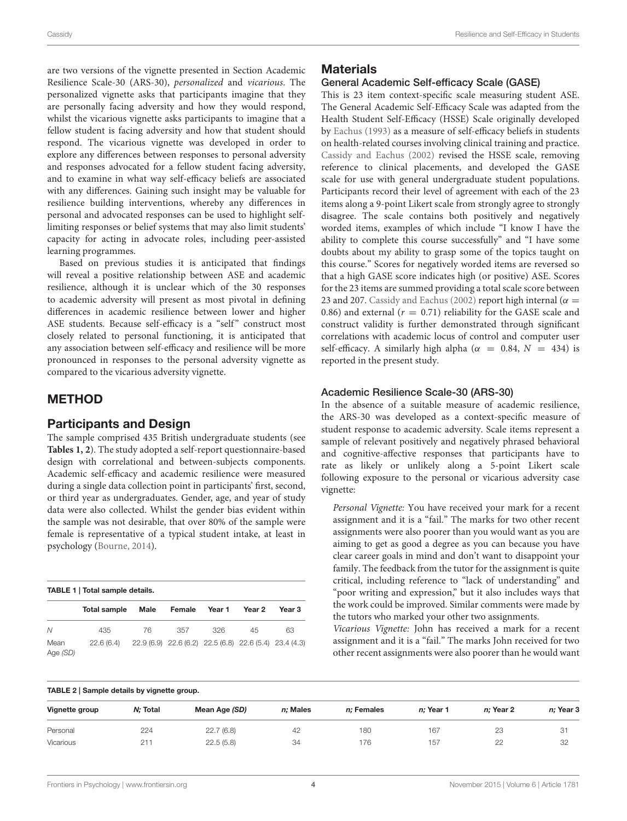are two versions of the vignette presented in Section Academic Resilience Scale-30 (ARS-30), personalized and vicarious. The personalized vignette asks that participants imagine that they are personally facing adversity and how they would respond, whilst the vicarious vignette asks participants to imagine that a fellow student is facing adversity and how that student should respond. The vicarious vignette was developed in order to explore any differences between responses to personal adversity and responses advocated for a fellow student facing adversity, and to examine in what way self-efficacy beliefs are associated with any differences. Gaining such insight may be valuable for resilience building interventions, whereby any differences in personal and advocated responses can be used to highlight selflimiting responses or belief systems that may also limit students' capacity for acting in advocate roles, including peer-assisted learning programmes.

Based on previous studies it is anticipated that findings will reveal a positive relationship between ASE and academic resilience, although it is unclear which of the 30 responses to academic adversity will present as most pivotal in defining differences in academic resilience between lower and higher ASE students. Because self-efficacy is a "self" construct most closely related to personal functioning, it is anticipated that any association between self-efficacy and resilience will be more pronounced in responses to the personal adversity vignette as compared to the vicarious adversity vignette.

# METHOD

#### Participants and Design

The sample comprised 435 British undergraduate students (see **[Tables 1,](#page-4-0) [2](#page-4-1)**). The study adopted a self-report questionnaire-based design with correlational and between-subjects components. Academic self-efficacy and academic resilience were measured during a single data collection point in participants' first, second, or third year as undergraduates. Gender, age, and year of study data were also collected. Whilst the gender bias evident within the sample was not desirable, that over 80% of the sample were female is representative of a typical student intake, at least in psychology [\(Bourne, 2014\)](#page-13-18).

<span id="page-4-0"></span>

| TABLE 1   Total sample details. |              |      |                                                        |        |        |        |  |
|---------------------------------|--------------|------|--------------------------------------------------------|--------|--------|--------|--|
|                                 | Total sample | Male | Female                                                 | Year 1 | Year 2 | Year 3 |  |
| $\mathcal N$                    | 435          | 76   | 357                                                    | 326    | 45     | 63     |  |
| Mean<br>Age (SD)                | 22.6(6.4)    |      | 22.9 (6.9) 22.6 (6.2) 22.5 (6.8) 22.6 (5.4) 23.4 (4.3) |        |        |        |  |

#### **Materials**

#### General Academic Self-efficacy Scale (GASE)

This is 23 item context-specific scale measuring student ASE. The General Academic Self-Efficacy Scale was adapted from the Health Student Self-Efficacy (HSSE) Scale originally developed by [Eachus \(1993\)](#page-13-19) as a measure of self-efficacy beliefs in students on health-related courses involving clinical training and practice. [Cassidy and Eachus \(2002\)](#page-13-20) revised the HSSE scale, removing reference to clinical placements, and developed the GASE scale for use with general undergraduate student populations. Participants record their level of agreement with each of the 23 items along a 9-point Likert scale from strongly agree to strongly disagree. The scale contains both positively and negatively worded items, examples of which include "I know I have the ability to complete this course successfully" and "I have some doubts about my ability to grasp some of the topics taught on this course." Scores for negatively worded items are reversed so that a high GASE score indicates high (or positive) ASE. Scores for the 23 items are summed providing a total scale score between 23 and 207. [Cassidy and Eachus \(2002\)](#page-13-20) report high internal ( $\alpha =$ 0.86) and external ( $r = 0.71$ ) reliability for the GASE scale and construct validity is further demonstrated through significant correlations with academic locus of control and computer user self-efficacy. A similarly high alpha ( $\alpha$  = 0.84,  $N$  = 434) is reported in the present study.

#### Academic Resilience Scale-30 (ARS-30)

In the absence of a suitable measure of academic resilience, the ARS-30 was developed as a context-specific measure of student response to academic adversity. Scale items represent a sample of relevant positively and negatively phrased behavioral and cognitive-affective responses that participants have to rate as likely or unlikely along a 5-point Likert scale following exposure to the personal or vicarious adversity case vignette:

Personal Vignette: You have received your mark for a recent assignment and it is a "fail." The marks for two other recent assignments were also poorer than you would want as you are aiming to get as good a degree as you can because you have clear career goals in mind and don't want to disappoint your family. The feedback from the tutor for the assignment is quite critical, including reference to "lack of understanding" and "poor writing and expression," but it also includes ways that the work could be improved. Similar comments were made by the tutors who marked your other two assignments.

Vicarious Vignette: John has received a mark for a recent assignment and it is a "fail." The marks John received for two other recent assignments were also poorer than he would want

<span id="page-4-1"></span>

| TABLE 2   Sample details by vignette group. |  |  |  |
|---------------------------------------------|--|--|--|
|---------------------------------------------|--|--|--|

| Vignette group   | N: Total | Mean Age (SD) | n: Males | n: Females | n: Year 1 | n: Year 2 | n; Year 3 |
|------------------|----------|---------------|----------|------------|-----------|-----------|-----------|
| Personal         | 224      | 22.7(6.8)     | 42       | 180        | 167       | 23        | 31        |
| <b>Vicarious</b> | 211      | 22.5(5.8)     | 34       | 176        | 157       | 22        | 32        |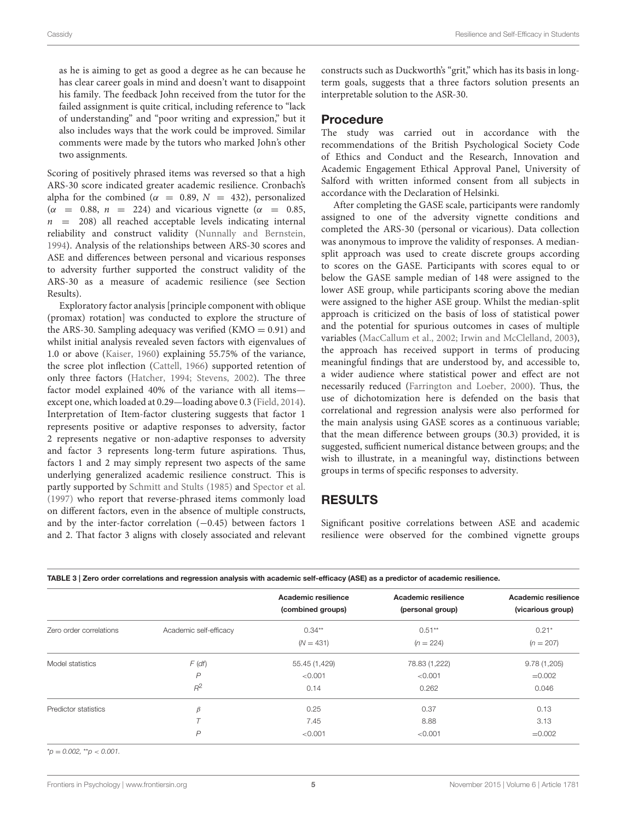as he is aiming to get as good a degree as he can because he has clear career goals in mind and doesn't want to disappoint his family. The feedback John received from the tutor for the failed assignment is quite critical, including reference to "lack of understanding" and "poor writing and expression," but it also includes ways that the work could be improved. Similar comments were made by the tutors who marked John's other two assignments.

Scoring of positively phrased items was reversed so that a high ARS-30 score indicated greater academic resilience. Cronbach's alpha for the combined ( $\alpha = 0.89$ ,  $N = 432$ ), personalized  $(\alpha = 0.88, n = 224)$  and vicarious vignette  $(\alpha = 0.85,$  $n = 208$ ) all reached acceptable levels indicating internal reliability and construct validity [\(Nunnally and Bernstein,](#page-14-22) [1994\)](#page-14-22). Analysis of the relationships between ARS-30 scores and ASE and differences between personal and vicarious responses to adversity further supported the construct validity of the ARS-30 as a measure of academic resilience (see Section Results).

Exploratory factor analysis [principle component with oblique (promax) rotation] was conducted to explore the structure of the ARS-30. Sampling adequacy was verified  $(KMO = 0.91)$  and whilst initial analysis revealed seven factors with eigenvalues of 1.0 or above [\(Kaiser, 1960\)](#page-14-23) explaining 55.75% of the variance, the scree plot inflection [\(Cattell, 1966\)](#page-13-21) supported retention of only three factors [\(Hatcher, 1994;](#page-14-24) [Stevens, 2002\)](#page-14-25). The three factor model explained 40% of the variance with all items except one, which loaded at 0.29—loading above 0.3 [\(Field, 2014\)](#page-13-22). Interpretation of Item-factor clustering suggests that factor 1 represents positive or adaptive responses to adversity, factor 2 represents negative or non-adaptive responses to adversity and factor 3 represents long-term future aspirations. Thus, factors 1 and 2 may simply represent two aspects of the same underlying generalized academic resilience construct. This is partly supported by [Schmitt and Stults \(1985\)](#page-14-26) and [Spector et al.](#page-14-27) [\(1997\)](#page-14-27) who report that reverse-phrased items commonly load on different factors, even in the absence of multiple constructs, and by the inter-factor correlation (−0.45) between factors 1 and 2. That factor 3 aligns with closely associated and relevant constructs such as Duckworth's "grit," which has its basis in longterm goals, suggests that a three factors solution presents an interpretable solution to the ASR-30.

#### Procedure

The study was carried out in accordance with the recommendations of the British Psychological Society Code of Ethics and Conduct and the Research, Innovation and Academic Engagement Ethical Approval Panel, University of Salford with written informed consent from all subjects in accordance with the Declaration of Helsinki.

After completing the GASE scale, participants were randomly assigned to one of the adversity vignette conditions and completed the ARS-30 (personal or vicarious). Data collection was anonymous to improve the validity of responses. A mediansplit approach was used to create discrete groups according to scores on the GASE. Participants with scores equal to or below the GASE sample median of 148 were assigned to the lower ASE group, while participants scoring above the median were assigned to the higher ASE group. Whilst the median-split approach is criticized on the basis of loss of statistical power and the potential for spurious outcomes in cases of multiple variables [\(MacCallum et al., 2002;](#page-14-28) [Irwin and McClelland, 2003\)](#page-14-29), the approach has received support in terms of producing meaningful findings that are understood by, and accessible to, a wider audience where statistical power and effect are not necessarily reduced [\(Farrington and Loeber, 2000\)](#page-13-23). Thus, the use of dichotomization here is defended on the basis that correlational and regression analysis were also performed for the main analysis using GASE scores as a continuous variable; that the mean difference between groups (30.3) provided, it is suggested, sufficient numerical distance between groups; and the wish to illustrate, in a meaningful way, distinctions between groups in terms of specific responses to adversity.

# RESULTS

Significant positive correlations between ASE and academic resilience were observed for the combined vignette groups

<span id="page-5-0"></span>

|                         |                        | Academic resilience | Academic resilience | Academic resilience |
|-------------------------|------------------------|---------------------|---------------------|---------------------|
|                         |                        | (combined groups)   | (personal group)    | (vicarious group)   |
| Zero order correlations | Academic self-efficacy | $0.34***$           | $0.51**$            | $0.21*$             |
|                         |                        | $(N = 431)$         | $(n = 224)$         | $(n = 207)$         |
| Model statistics        | $F$ (df)               | 55.45 (1,429)       | 78.83 (1,222)       | 9.78(1,205)         |
|                         | $\overline{P}$         | < 0.001             | < 0.001             | $=0.002$            |
|                         | $R^2$                  | 0.14                | 0.262               | 0.046               |
| Predictor statistics    | B                      | 0.25                | 0.37                | 0.13                |
|                         |                        | 7.45                | 8.88                | 3.13                |
|                         | P                      | < 0.001             | < 0.001             | $=0.002$            |

 $*_{p} = 0.002$ ,  $*_{p} < 0.001$ .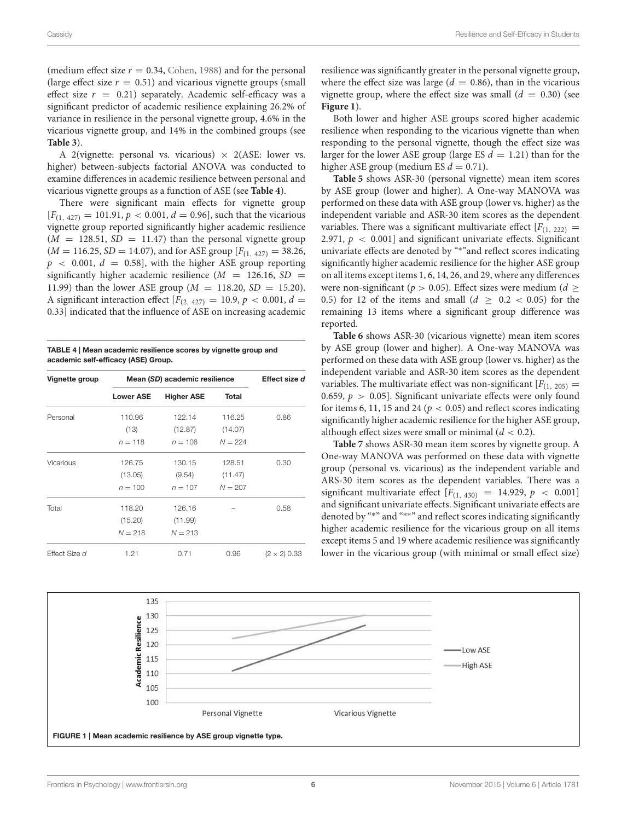(medium effect size  $r = 0.34$ , [Cohen, 1988\)](#page-13-24) and for the personal (large effect size  $r = 0.51$ ) and vicarious vignette groups (small effect size  $r = 0.21$ ) separately. Academic self-efficacy was a significant predictor of academic resilience explaining 26.2% of variance in resilience in the personal vignette group, 4.6% in the vicarious vignette group, and 14% in the combined groups (see **[Table 3](#page-5-0)**).

A 2(vignette: personal vs. vicarious)  $\times$  2(ASE: lower vs. higher) between-subjects factorial ANOVA was conducted to examine differences in academic resilience between personal and vicarious vignette groups as a function of ASE (see **[Table 4](#page-6-0)**).

There were significant main effects for vignette group  $[F_{(1, 427)} = 101.91, p < 0.001, d = 0.96]$ , such that the vicarious vignette group reported significantly higher academic resilience  $(M = 128.51, SD = 11.47)$  than the personal vignette group  $(M = 116.25, SD = 14.07)$ , and for ASE group  $[F_{(1, 427)} = 38.26,$  $p \sim 0.001, d = 0.58$ , with the higher ASE group reporting significantly higher academic resilience  $(M = 126.16, SD =$ 11.99) than the lower ASE group ( $M = 118.20$ ,  $SD = 15.20$ ). A significant interaction effect  $[F(2, 427) = 10.9, p < 0.001, d =$ 0.33] indicated that the influence of ASE on increasing academic

<span id="page-6-0"></span>TABLE 4 | Mean academic resilience scores by vignette group and academic self-efficacy (ASE) Group.

| Vignette group       | Mean (SD) academic resilience | Effect size d     |              |                     |
|----------------------|-------------------------------|-------------------|--------------|---------------------|
|                      | <b>Lower ASE</b>              | <b>Higher ASE</b> | <b>Total</b> |                     |
| Personal             | 110.96                        | 122.14            | 116.25       | 0.86                |
|                      | (13)                          | (12.87)           | (14.07)      |                     |
|                      | $n = 118$                     | $n = 106$         | $N = 224$    |                     |
| Vicarious            | 126.75                        | 130.15            | 128.51       | 0.30                |
|                      | (13.05)                       | (9.54)            | (11.47)      |                     |
|                      | $n = 100$                     | $n = 107$         | $N = 207$    |                     |
| Total                | 118.20                        | 126.16            |              | 0.58                |
|                      | (15.20)                       | (11.99)           |              |                     |
|                      | $N = 218$                     | $N = 213$         |              |                     |
| <b>Effect Size d</b> | 1.21                          | 0.71              | 0.96         | $(2 \times 2)$ 0.33 |

resilience was significantly greater in the personal vignette group, where the effect size was large ( $d = 0.86$ ), than in the vicarious vignette group, where the effect size was small  $(d = 0.30)$  (see **[Figure 1](#page-6-1)**).

Both lower and higher ASE groups scored higher academic resilience when responding to the vicarious vignette than when responding to the personal vignette, though the effect size was larger for the lower ASE group (large ES  $d = 1.21$ ) than for the higher ASE group (medium ES  $d = 0.71$ ).

**[Table 5](#page-7-0)** shows ASR-30 (personal vignette) mean item scores by ASE group (lower and higher). A One-way MANOVA was performed on these data with ASE group (lower vs. higher) as the independent variable and ASR-30 item scores as the dependent variables. There was a significant multivariate effect  $[F(1, 222) =$ 2.971,  $p < 0.001$ ] and significant univariate effects. Significant univariate effects are denoted by "\*"and reflect scores indicating significantly higher academic resilience for the higher ASE group on all items except items 1, 6, 14, 26, and 29, where any differences were non-significant ( $p > 0.05$ ). Effect sizes were medium ( $d \ge$ 0.5) for 12 of the items and small  $(d > 0.2 < 0.05)$  for the remaining 13 items where a significant group difference was reported.

**[Table 6](#page-9-0)** shows ASR-30 (vicarious vignette) mean item scores by ASE group (lower and higher). A One-way MANOVA was performed on these data with ASE group (lower vs. higher) as the independent variable and ASR-30 item scores as the dependent variables. The multivariate effect was non-significant  $[F(1, 205) =$ 0.659,  $p > 0.05$ . Significant univariate effects were only found for items 6, 11, 15 and 24 ( $p < 0.05$ ) and reflect scores indicating significantly higher academic resilience for the higher ASE group, although effect sizes were small or minimal  $(d < 0.2)$ .

**[Table 7](#page-11-0)** shows ASR-30 mean item scores by vignette group. A One-way MANOVA was performed on these data with vignette group (personal vs. vicarious) as the independent variable and ARS-30 item scores as the dependent variables. There was a significant multivariate effect  $[F(1, 430) = 14.929, p < 0.001]$ and significant univariate effects. Significant univariate effects are denoted by "<sup>∗</sup> " and "∗∗" and reflect scores indicating significantly higher academic resilience for the vicarious group on all items except items 5 and 19 where academic resilience was significantly lower in the vicarious group (with minimal or small effect size)

<span id="page-6-1"></span>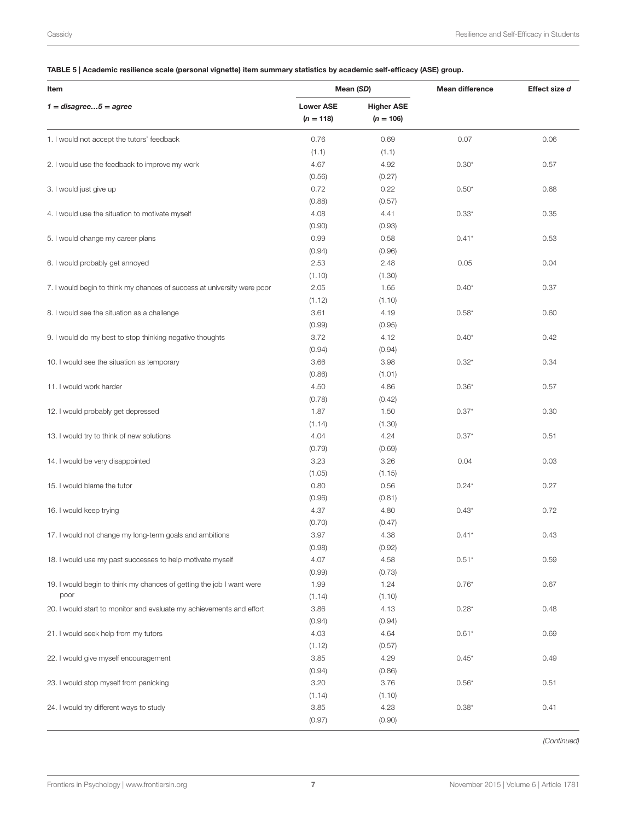#### <span id="page-7-0"></span>TABLE 5 | Academic resilience scale (personal vignette) item summary statistics by academic self-efficacy (ASE) group.

| Item                                                                         |                                 | Mean (SD)                        | <b>Mean difference</b> | Effect size d |
|------------------------------------------------------------------------------|---------------------------------|----------------------------------|------------------------|---------------|
| $1 = disagree5 = agree$                                                      | <b>Lower ASE</b><br>$(n = 118)$ | <b>Higher ASE</b><br>$(n = 106)$ |                        |               |
| 1. I would not accept the tutors' feedback                                   | 0.76<br>(1.1)                   | 0.69<br>(1.1)                    | 0.07                   | 0.06          |
| 2. I would use the feedback to improve my work                               | 4.67<br>(0.56)                  | 4.92<br>(0.27)                   | $0.30*$                | 0.57          |
| 3. I would just give up                                                      | 0.72<br>(0.88)                  | 0.22<br>(0.57)                   | $0.50*$                | 0.68          |
| 4. I would use the situation to motivate myself                              | 4.08<br>(0.90)                  | 4.41<br>(0.93)                   | $0.33*$                | 0.35          |
| 5. I would change my career plans                                            | 0.99<br>(0.94)                  | 0.58<br>(0.96)                   | $0.41*$                | 0.53          |
| 6. I would probably get annoyed                                              | 2.53<br>(1.10)                  | 2.48<br>(1.30)                   | 0.05                   | 0.04          |
| 7. I would begin to think my chances of success at university were poor      | 2.05<br>(1.12)                  | 1.65<br>(1.10)                   | $0.40*$                | 0.37          |
| 8. I would see the situation as a challenge                                  | 3.61<br>(0.99)                  | 4.19<br>(0.95)                   | $0.58*$                | 0.60          |
| 9. I would do my best to stop thinking negative thoughts                     | 3.72<br>(0.94)                  | 4.12<br>(0.94)                   | $0.40*$                | 0.42          |
| 10. I would see the situation as temporary                                   | 3.66<br>(0.86)                  | 3.98<br>(1.01)                   | $0.32*$                | 0.34          |
| 11. I would work harder                                                      | 4.50<br>(0.78)                  | 4.86<br>(0.42)                   | $0.36*$                | 0.57          |
| 12. I would probably get depressed                                           | 1.87<br>(1.14)                  | 1.50<br>(1.30)                   | $0.37*$                | 0.30          |
| 13. I would try to think of new solutions                                    | 4.04<br>(0.79)                  | 4.24<br>(0.69)                   | $0.37*$                | 0.51          |
| 14. I would be very disappointed                                             | 3.23<br>(1.05)                  | 3.26<br>(1.15)                   | 0.04                   | 0.03          |
| 15. I would blame the tutor                                                  | 0.80<br>(0.96)                  | 0.56<br>(0.81)                   | $0.24*$                | 0.27          |
| 16. I would keep trying                                                      | 4.37<br>(0.70)                  | 4.80<br>(0.47)                   | $0.43*$                | 0.72          |
| 17. I would not change my long-term goals and ambitions                      | 3.97<br>(0.98)                  | 4.38<br>(0.92)                   | $0.41*$                | 0.43          |
| 18. I would use my past successes to help motivate myself                    | 4.07<br>(0.99)                  | 4.58<br>(0.73)                   | $0.51*$                | 0.59          |
| 19. I would begin to think my chances of getting the job I want were<br>poor | 1.99<br>(1.14)                  | 1.24<br>(1.10)                   | $0.76*$                | 0.67          |
| 20. I would start to monitor and evaluate my achievements and effort         | 3.86<br>(0.94)                  | 4.13<br>(0.94)                   | $0.28*$                | 0.48          |
| 21. I would seek help from my tutors                                         | 4.03<br>(1.12)                  | 4.64<br>(0.57)                   | $0.61*$                | 0.69          |
| 22. I would give myself encouragement                                        | 3.85<br>(0.94)                  | 4.29<br>(0.86)                   | $0.45*$                | 0.49          |
| 23. I would stop myself from panicking                                       | 3.20<br>(1.14)                  | 3.76<br>(1.10)                   | $0.56*$                | 0.51          |
| 24. I would try different ways to study                                      | 3.85<br>(0.97)                  | 4.23<br>(0.90)                   | $0.38*$                | 0.41          |

(Continued)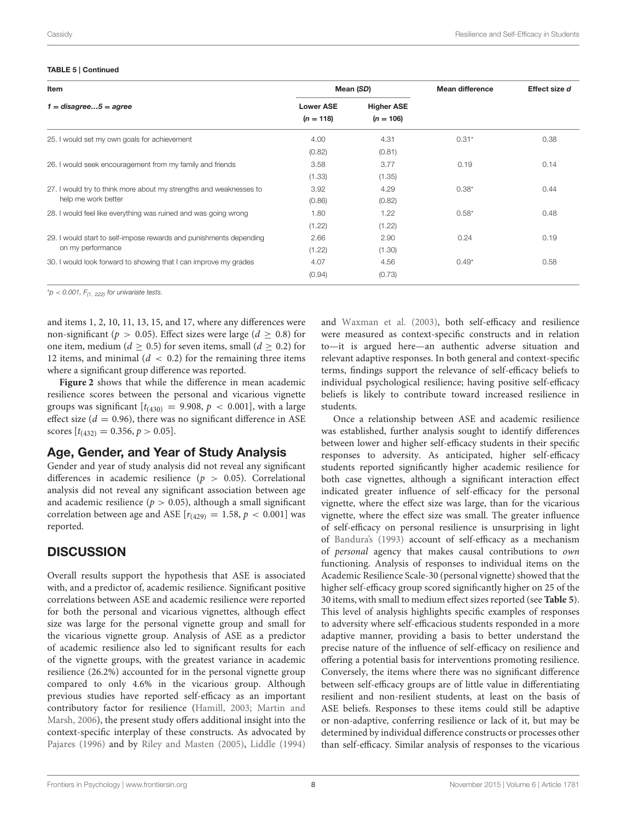#### TABLE 5 | Continued

| Item                                                               |                                 | Mean (SD)                        | <b>Mean difference</b> | Effect size d |
|--------------------------------------------------------------------|---------------------------------|----------------------------------|------------------------|---------------|
| $1 = distance5 = agree$                                            | <b>Lower ASE</b><br>$(n = 118)$ | <b>Higher ASE</b><br>$(n = 106)$ |                        |               |
| 25. I would set my own goals for achievement                       | 4.00                            | 4.31                             | $0.31*$                | 0.38          |
|                                                                    | (0.82)                          | (0.81)                           |                        |               |
| 26. I would seek encouragement from my family and friends          | 3.58                            | 3.77                             | 0.19                   | 0.14          |
|                                                                    | (1.33)                          | (1.35)                           |                        |               |
| 27. I would try to think more about my strengths and weaknesses to | 3.92                            | 4.29                             | $0.38*$                | 0.44          |
| help me work better                                                | (0.86)                          | (0.82)                           |                        |               |
| 28. I would feel like everything was ruined and was going wrong    | 1.80                            | 1.22                             | $0.58*$                | 0.48          |
|                                                                    | (1.22)                          | (1.22)                           |                        |               |
| 29. I would start to self-impose rewards and punishments depending | 2.66                            | 2.90                             | 0.24                   | 0.19          |
| on my performance                                                  | (1.22)                          | (1.30)                           |                        |               |
| 30. I would look forward to showing that I can improve my grades   | 4.07                            | 4.56                             | $0.49*$                | 0.58          |
|                                                                    | (0.94)                          | (0.73)                           |                        |               |
|                                                                    |                                 |                                  |                        |               |

 $*p < 0.001$ ,  $F_{(1, 222)}$  for univariate tests.

and items 1, 2, 10, 11, 13, 15, and 17, where any differences were non-significant ( $p > 0.05$ ). Effect sizes were large ( $d \ge 0.8$ ) for one item, medium ( $d \geq 0.5$ ) for seven items, small ( $d \geq 0.2$ ) for 12 items, and minimal  $(d < 0.2)$  for the remaining three items where a significant group difference was reported.

**[Figure 2](#page-12-0)** shows that while the difference in mean academic resilience scores between the personal and vicarious vignette groups was significant  $[t_{(430)} = 9.908, p < 0.001]$ , with a large effect size ( $d = 0.96$ ), there was no significant difference in ASE scores  $[t_{(432)} = 0.356, p > 0.05]$ .

#### Age, Gender, and Year of Study Analysis

Gender and year of study analysis did not reveal any significant differences in academic resilience ( $p > 0.05$ ). Correlational analysis did not reveal any significant association between age and academic resilience ( $p > 0.05$ ), although a small significant correlation between age and ASE  $[r_{(429)} = 1.58, p < 0.001]$  was reported.

# **DISCUSSION**

Overall results support the hypothesis that ASE is associated with, and a predictor of, academic resilience. Significant positive correlations between ASE and academic resilience were reported for both the personal and vicarious vignettes, although effect size was large for the personal vignette group and small for the vicarious vignette group. Analysis of ASE as a predictor of academic resilience also led to significant results for each of the vignette groups, with the greatest variance in academic resilience (26.2%) accounted for in the personal vignette group compared to only 4.6% in the vicarious group. Although previous studies have reported self-efficacy as an important contributory factor for resilience [\(Hamill, 2003;](#page-14-3) Martin and Marsh, [2006\)](#page-14-19), the present study offers additional insight into the context-specific interplay of these constructs. As advocated by [Pajares \(1996\)](#page-14-30) and by [Riley and Masten \(2005\)](#page-14-5), [Liddle \(1994\)](#page-14-6)

and [Waxman et al. \(2003\)](#page-14-7), both self-efficacy and resilience were measured as context-specific constructs and in relation to—it is argued here—an authentic adverse situation and relevant adaptive responses. In both general and context-specific terms, findings support the relevance of self-efficacy beliefs to individual psychological resilience; having positive self-efficacy beliefs is likely to contribute toward increased resilience in students.

Once a relationship between ASE and academic resilience was established, further analysis sought to identify differences between lower and higher self-efficacy students in their specific responses to adversity. As anticipated, higher self-efficacy students reported significantly higher academic resilience for both case vignettes, although a significant interaction effect indicated greater influence of self-efficacy for the personal vignette, where the effect size was large, than for the vicarious vignette, where the effect size was small. The greater influence of self-efficacy on personal resilience is unsurprising in light of [Bandura's \(1993\)](#page-13-17) account of self-efficacy as a mechanism of personal agency that makes causal contributions to own functioning. Analysis of responses to individual items on the Academic Resilience Scale-30 (personal vignette) showed that the higher self-efficacy group scored significantly higher on 25 of the 30 items, with small to medium effect sizes reported (see **[Table 5](#page-7-0)**). This level of analysis highlights specific examples of responses to adversity where self-efficacious students responded in a more adaptive manner, providing a basis to better understand the precise nature of the influence of self-efficacy on resilience and offering a potential basis for interventions promoting resilience. Conversely, the items where there was no significant difference between self-efficacy groups are of little value in differentiating resilient and non-resilient students, at least on the basis of ASE beliefs. Responses to these items could still be adaptive or non-adaptive, conferring resilience or lack of it, but may be determined by individual difference constructs or processes other than self-efficacy. Similar analysis of responses to the vicarious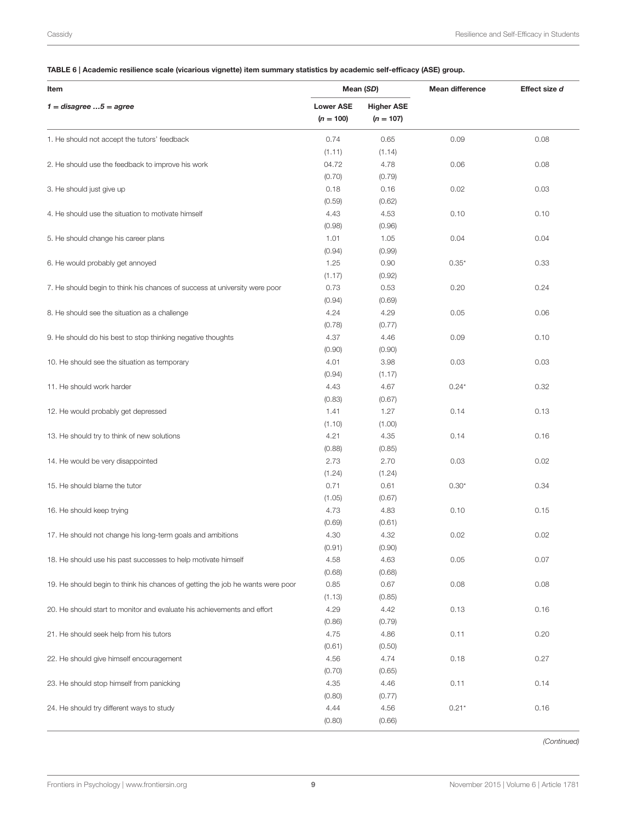#### <span id="page-9-0"></span>TABLE 6 | Academic resilience scale (vicarious vignette) item summary statistics by academic self-efficacy (ASE) group.

| Item                                                                           |                                 | Mean (SD)                        | <b>Mean difference</b> | Effect size d |  |
|--------------------------------------------------------------------------------|---------------------------------|----------------------------------|------------------------|---------------|--|
| $1 =$ disagree $5 =$ agree                                                     | <b>Lower ASE</b><br>$(n = 100)$ | <b>Higher ASE</b><br>$(n = 107)$ |                        |               |  |
| 1. He should not accept the tutors' feedback                                   | 0.74<br>(1.11)                  | 0.65<br>(1.14)                   | 0.09                   | 0.08          |  |
| 2. He should use the feedback to improve his work                              | 04.72<br>(0.70)                 | 4.78<br>(0.79)                   | 0.06                   | 0.08          |  |
| 3. He should just give up                                                      | 0.18<br>(0.59)                  | 0.16<br>(0.62)                   | 0.02                   | 0.03          |  |
| 4. He should use the situation to motivate himself                             | 4.43<br>(0.98)                  | 4.53<br>(0.96)                   | 0.10                   | 0.10          |  |
| 5. He should change his career plans                                           | 1.01<br>(0.94)                  | 1.05<br>(0.99)                   | 0.04                   | 0.04          |  |
| 6. He would probably get annoyed                                               | 1.25<br>(1.17)                  | 0.90<br>(0.92)                   | $0.35*$                | 0.33          |  |
| 7. He should begin to think his chances of success at university were poor     | 0.73<br>(0.94)                  | 0.53<br>(0.69)                   | 0.20                   | 0.24          |  |
| 8. He should see the situation as a challenge                                  | 4.24<br>(0.78)                  | 4.29<br>(0.77)                   | 0.05                   | 0.06          |  |
| 9. He should do his best to stop thinking negative thoughts                    | 4.37<br>(0.90)                  | 4.46<br>(0.90)                   | 0.09                   | 0.10          |  |
| 10. He should see the situation as temporary                                   | 4.01<br>(0.94)                  | 3.98<br>(1.17)                   | 0.03                   | 0.03          |  |
| 11. He should work harder                                                      | 4.43<br>(0.83)                  | 4.67<br>(0.67)                   | $0.24*$                | 0.32          |  |
| 12. He would probably get depressed                                            | 1.41<br>(1.10)                  | 1.27<br>(1.00)                   | 0.14                   | 0.13          |  |
| 13. He should try to think of new solutions                                    | 4.21<br>(0.88)                  | 4.35<br>(0.85)                   | 0.14                   | 0.16          |  |
| 14. He would be very disappointed                                              | 2.73<br>(1.24)                  | 2.70<br>(1.24)                   | 0.03                   | 0.02          |  |
| 15. He should blame the tutor                                                  | 0.71<br>(1.05)                  | 0.61<br>(0.67)                   | $0.30*$                | 0.34          |  |
| 16. He should keep trying                                                      | 4.73<br>(0.69)                  | 4.83<br>(0.61)                   | 0.10                   | 0.15          |  |
| 17. He should not change his long-term goals and ambitions                     | 4.30<br>(0.91)                  | 4.32<br>(0.90)                   | 0.02                   | 0.02          |  |
| 18. He should use his past successes to help motivate himself                  | 4.58<br>(0.68)                  | 4.63<br>(0.68)                   | 0.05                   | 0.07          |  |
| 19. He should begin to think his chances of getting the job he wants were poor | 0.85<br>(1.13)                  | 0.67<br>(0.85)                   | 0.08                   | 0.08          |  |
| 20. He should start to monitor and evaluate his achievements and effort        | 4.29<br>(0.86)                  | 4.42<br>(0.79)                   | 0.13                   | 0.16          |  |
| 21. He should seek help from his tutors                                        | 4.75<br>(0.61)                  | 4.86<br>(0.50)                   | 0.11                   | 0.20          |  |
| 22. He should give himself encouragement                                       | 4.56<br>(0.70)                  | 4.74<br>(0.65)                   | 0.18                   | 0.27          |  |
| 23. He should stop himself from panicking                                      | 4.35<br>(0.80)                  | 4.46<br>(0.77)                   | 0.11                   | 0.14          |  |
| 24. He should try different ways to study                                      | 4.44<br>(0.80)                  | 4.56<br>(0.66)                   | $0.21*$                | 0.16          |  |

(Continued)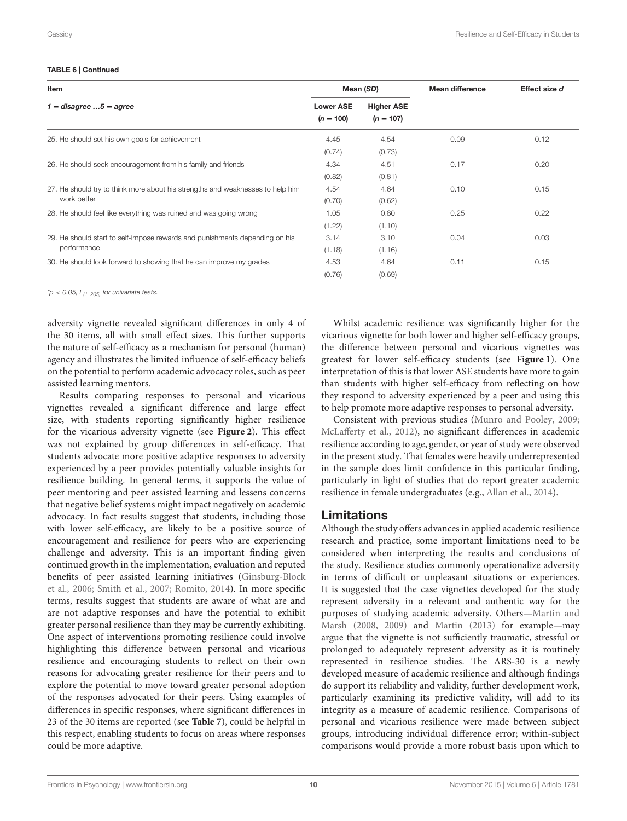#### TABLE 6 | Continued

| Item                                                                           | Mean (SD)                       |                                  | <b>Mean difference</b> | Effect size d |
|--------------------------------------------------------------------------------|---------------------------------|----------------------------------|------------------------|---------------|
| $1 = distance$ $5 = agree$                                                     | <b>Lower ASE</b><br>$(n = 100)$ | <b>Higher ASE</b><br>$(n = 107)$ |                        |               |
| 25. He should set his own goals for achievement                                | 4.45                            | 4.54                             | 0.09                   | 0.12          |
|                                                                                | (0.74)                          | (0.73)                           |                        |               |
| 26. He should seek encouragement from his family and friends                   | 4.34                            | 4.51                             | 0.17                   | 0.20          |
|                                                                                | (0.82)                          | (0.81)                           |                        |               |
| 27. He should try to think more about his strengths and weaknesses to help him | 4.54                            | 4.64                             | 0.10                   | 0.15          |
| work better                                                                    | (0.70)                          | (0.62)                           |                        |               |
| 28. He should feel like everything was ruined and was going wrong              | 1.05                            | 0.80                             | 0.25                   | 0.22          |
|                                                                                | (1.22)                          | (1.10)                           |                        |               |
| 29. He should start to self-impose rewards and punishments depending on his    | 3.14                            | 3.10                             | 0.04                   | 0.03          |
| performance                                                                    | (1.18)                          | (1.16)                           |                        |               |
| 30. He should look forward to showing that he can improve my grades            | 4.53                            | 4.64                             | 0.11                   | 0.15          |
|                                                                                | (0.76)                          | (0.69)                           |                        |               |

\*p < 0.05,  $F_{(1, 205)}$  for univariate tests.

adversity vignette revealed significant differences in only 4 of the 30 items, all with small effect sizes. This further supports the nature of self-efficacy as a mechanism for personal (human) agency and illustrates the limited influence of self-efficacy beliefs on the potential to perform academic advocacy roles, such as peer assisted learning mentors.

Results comparing responses to personal and vicarious vignettes revealed a significant difference and large effect size, with students reporting significantly higher resilience for the vicarious adversity vignette (see **[Figure 2](#page-12-0)**). This effect was not explained by group differences in self-efficacy. That students advocate more positive adaptive responses to adversity experienced by a peer provides potentially valuable insights for resilience building. In general terms, it supports the value of peer mentoring and peer assisted learning and lessens concerns that negative belief systems might impact negatively on academic advocacy. In fact results suggest that students, including those with lower self-efficacy, are likely to be a positive source of encouragement and resilience for peers who are experiencing challenge and adversity. This is an important finding given continued growth in the implementation, evaluation and reputed benefits of peer assisted learning initiatives (Ginsburg-Block et al., [2006;](#page-14-31) [Smith et al., 2007;](#page-14-32) [Romito, 2014\)](#page-14-33). In more specific terms, results suggest that students are aware of what are and are not adaptive responses and have the potential to exhibit greater personal resilience than they may be currently exhibiting. One aspect of interventions promoting resilience could involve highlighting this difference between personal and vicarious resilience and encouraging students to reflect on their own reasons for advocating greater resilience for their peers and to explore the potential to move toward greater personal adoption of the responses advocated for their peers. Using examples of differences in specific responses, where significant differences in 23 of the 30 items are reported (see **[Table 7](#page-11-0)**), could be helpful in this respect, enabling students to focus on areas where responses could be more adaptive.

Whilst academic resilience was significantly higher for the vicarious vignette for both lower and higher self-efficacy groups, the difference between personal and vicarious vignettes was greatest for lower self-efficacy students (see **[Figure 1](#page-6-1)**). One interpretation of this is that lower ASE students have more to gain than students with higher self-efficacy from reflecting on how they respond to adversity experienced by a peer and using this to help promote more adaptive responses to personal adversity.

Consistent with previous studies [\(Munro and Pooley, 2009;](#page-14-18) [McLafferty et al., 2012\)](#page-14-15), no significant differences in academic resilience according to age, gender, or year of study were observed in the present study. That females were heavily underrepresented in the sample does limit confidence in this particular finding, particularly in light of studies that do report greater academic resilience in female undergraduates (e.g., [Allan et al., 2014\)](#page-13-25).

#### Limitations

Although the study offers advances in applied academic resilience research and practice, some important limitations need to be considered when interpreting the results and conclusions of the study. Resilience studies commonly operationalize adversity in terms of difficult or unpleasant situations or experiences. It is suggested that the case vignettes developed for the study represent adversity in a relevant and authentic way for the purposes of studying academic adversity. Others—Martin and Marsh [\(2008,](#page-14-12) [2009\)](#page-14-13) and [Martin \(2013\)](#page-14-14) for example—may argue that the vignette is not sufficiently traumatic, stressful or prolonged to adequately represent adversity as it is routinely represented in resilience studies. The ARS-30 is a newly developed measure of academic resilience and although findings do support its reliability and validity, further development work, particularly examining its predictive validity, will add to its integrity as a measure of academic resilience. Comparisons of personal and vicarious resilience were made between subject groups, introducing individual difference error; within-subject comparisons would provide a more robust basis upon which to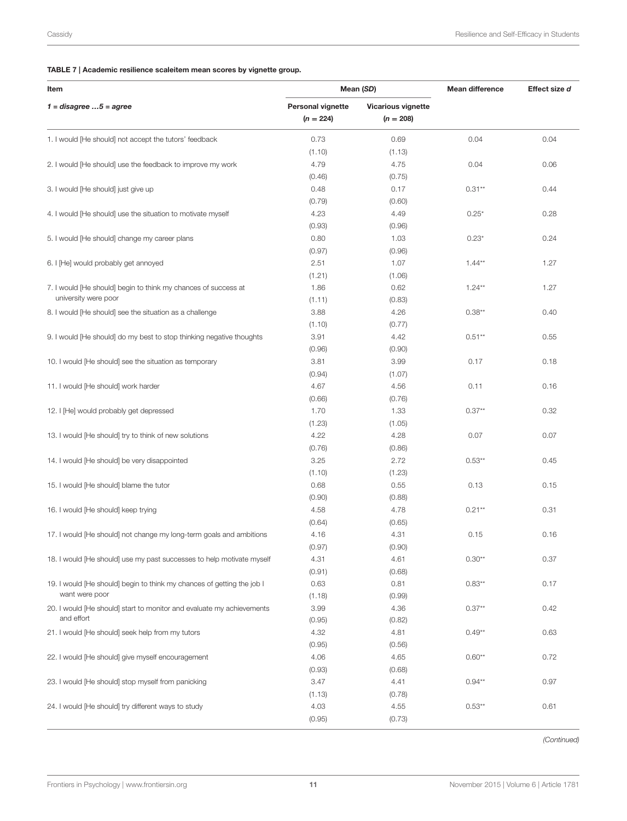# <span id="page-11-0"></span>TABLE 7 | Academic resilience scaleitem mean scores by vignette group.

| Item                                                                                     | Mean (SD)                               |                                          | <b>Mean difference</b> | Effect size d |  |
|------------------------------------------------------------------------------------------|-----------------------------------------|------------------------------------------|------------------------|---------------|--|
| $1 = distance$ 5 = agree                                                                 | <b>Personal vignette</b><br>$(n = 224)$ | <b>Vicarious vignette</b><br>$(n = 208)$ |                        |               |  |
| 1. I would [He should] not accept the tutors' feedback                                   | 0.73<br>(1.10)                          | 0.69<br>(1.13)                           | 0.04                   | 0.04          |  |
| 2. I would [He should] use the feedback to improve my work                               | 4.79<br>(0.46)                          | 4.75<br>(0.75)                           | 0.04                   | 0.06          |  |
| 3. I would [He should] just give up                                                      | 0.48<br>(0.79)                          | 0.17<br>(0.60)                           | $0.31**$               | 0.44          |  |
| 4. I would [He should] use the situation to motivate myself                              | 4.23<br>(0.93)                          | 4.49<br>(0.96)                           | $0.25*$                | 0.28          |  |
| 5. I would [He should] change my career plans                                            | 0.80<br>(0.97)                          | 1.03<br>(0.96)                           | $0.23*$                | 0.24          |  |
| 6. I [He] would probably get annoyed                                                     | 2.51<br>(1.21)                          | 1.07<br>(1.06)                           | $1.44**$               | 1.27          |  |
| 7. I would [He should] begin to think my chances of success at<br>university were poor   | 1.86<br>(1.11)                          | 0.62<br>(0.83)                           | $1.24**$               | 1.27          |  |
| 8. I would [He should] see the situation as a challenge                                  | 3.88<br>(1.10)                          | 4.26<br>(0.77)                           | $0.38**$               | 0.40          |  |
| 9. I would [He should] do my best to stop thinking negative thoughts                     | 3.91<br>(0.96)                          | 4.42<br>(0.90)                           | $0.51**$               | 0.55          |  |
| 10. I would [He should] see the situation as temporary                                   | 3.81<br>(0.94)                          | 3.99<br>(1.07)                           | 0.17                   | 0.18          |  |
| 11. I would [He should] work harder                                                      | 4.67<br>(0.66)                          | 4.56<br>(0.76)                           | 0.11                   | 0.16          |  |
| 12. I [He] would probably get depressed                                                  | 1.70<br>(1.23)                          | 1.33<br>(1.05)                           | $0.37**$               | 0.32          |  |
| 13. I would [He should] try to think of new solutions                                    | 4.22<br>(0.76)                          | 4.28<br>(0.86)                           | 0.07                   | 0.07          |  |
| 14. I would [He should] be very disappointed                                             | 3.25<br>(1.10)                          | 2.72<br>(1.23)                           | $0.53**$               | 0.45          |  |
| 15. I would [He should] blame the tutor                                                  | 0.68<br>(0.90)                          | 0.55<br>(0.88)                           | 0.13                   | 0.15          |  |
| 16. I would [He should] keep trying                                                      | 4.58<br>(0.64)                          | 4.78<br>(0.65)                           | $0.21**$               | 0.31          |  |
| 17. I would [He should] not change my long-term goals and ambitions                      | 4.16<br>(0.97)                          | 4.31<br>(0.90)                           | 0.15                   | 0.16          |  |
| 18. I would [He should] use my past successes to help motivate myself                    | 4.31<br>(0.91)                          | 4.61<br>(0.68)                           | $0.30**$               | 0.37          |  |
| 19. I would [He should] begin to think my chances of getting the job I<br>want were poor | 0.63<br>(1.18)                          | 0.81<br>(0.99)                           | $0.83**$               | 0.17          |  |
| 20. I would [He should] start to monitor and evaluate my achievements<br>and effort      | 3.99<br>(0.95)                          | 4.36<br>(0.82)                           | $0.37**$               | 0.42          |  |
| 21. I would [He should] seek help from my tutors                                         | 4.32<br>(0.95)                          | 4.81<br>(0.56)                           | $0.49**$               | 0.63          |  |
| 22. I would [He should] give myself encouragement                                        | 4.06<br>(0.93)                          | 4.65<br>(0.68)                           | $0.60**$               | 0.72          |  |
| 23. I would [He should] stop myself from panicking                                       | 3.47<br>(1.13)                          | 4.41<br>(0.78)                           | $0.94**$               | 0.97          |  |
| 24. I would [He should] try different ways to study                                      | 4.03<br>(0.95)                          | 4.55<br>(0.73)                           | $0.53**$               | 0.61          |  |

(Continued)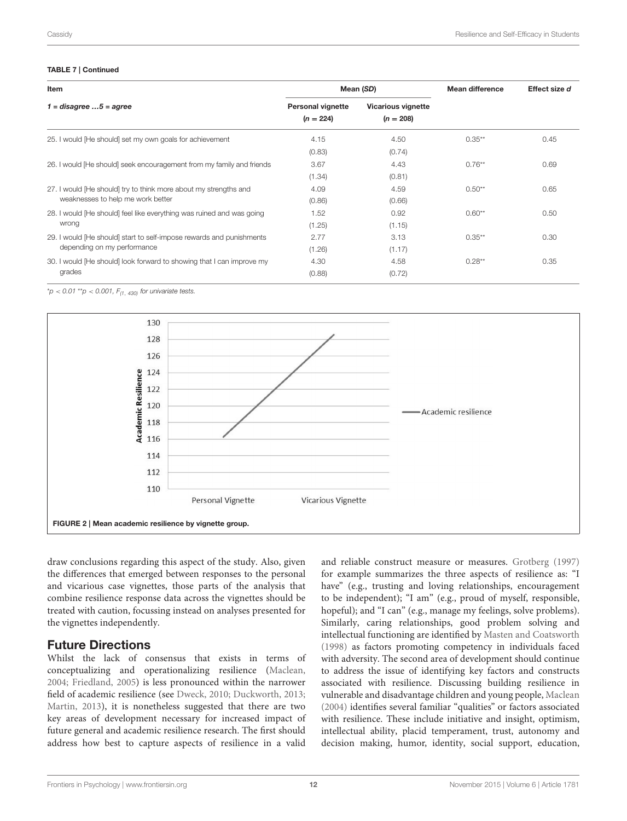#### TABLE 7 | Continued

| Item                                                                  |                                         | Mean (SD)                                | <b>Mean difference</b> | Effect size d |
|-----------------------------------------------------------------------|-----------------------------------------|------------------------------------------|------------------------|---------------|
| $1 = distance$ $5 = agree$                                            | <b>Personal vignette</b><br>$(n = 224)$ | <b>Vicarious vignette</b><br>$(n = 208)$ |                        |               |
| 25. I would [He should] set my own goals for achievement              | 4.15                                    | 4.50                                     | $0.35***$              | 0.45          |
|                                                                       | (0.83)                                  | (0.74)                                   |                        |               |
| 26. I would [He should] seek encouragement from my family and friends | 3.67                                    | 4.43                                     | $0.76**$               | 0.69          |
|                                                                       | (1.34)                                  | (0.81)                                   |                        |               |
| 27. I would [He should] try to think more about my strengths and      | 4.09                                    | 4.59                                     | $0.50**$               | 0.65          |
| weaknesses to help me work better                                     | (0.86)                                  | (0.66)                                   |                        |               |
| 28. I would [He should] feel like everything was ruined and was going | 1.52                                    | 0.92                                     | $0.60**$               | 0.50          |
| wrong                                                                 | (1.25)                                  | (1.15)                                   |                        |               |
| 29. I would [He should] start to self-impose rewards and punishments  | 2.77                                    | 3.13                                     | $0.35***$              | 0.30          |
| depending on my performance                                           | (1.26)                                  | (1.17)                                   |                        |               |
| 30. I would [He should] look forward to showing that I can improve my | 4.30                                    | 4.58                                     | $0.28**$               | 0.35          |
| grades                                                                | (0.88)                                  | (0.72)                                   |                        |               |

 $*_{p}$  < 0.01  $*_{p}$  < 0.001,  $F_{(1, 430)}$  for univariate tests.



<span id="page-12-0"></span>draw conclusions regarding this aspect of the study. Also, given the differences that emerged between responses to the personal and vicarious case vignettes, those parts of the analysis that combine resilience response data across the vignettes should be treated with caution, focussing instead on analyses presented for the vignettes independently.

# Future Directions

Whilst the lack of consensus that exists in terms of conceptualizing and operationalizing resilience [\(Maclean,](#page-14-34) [2004;](#page-14-34) [Friedland, 2005\)](#page-13-1) is less pronounced within the narrower field of academic resilience (see [Dweck, 2010;](#page-13-10) [Duckworth, 2013;](#page-13-7) [Martin, 2013\)](#page-14-14), it is nonetheless suggested that there are two key areas of development necessary for increased impact of future general and academic resilience research. The first should address how best to capture aspects of resilience in a valid and reliable construct measure or measures. [Grotberg \(1997\)](#page-14-35) for example summarizes the three aspects of resilience as: "I have" (e.g., trusting and loving relationships, encouragement to be independent); "I am" (e.g., proud of myself, responsible, hopeful); and "I can" (e.g., manage my feelings, solve problems). Similarly, caring relationships, good problem solving and intellectual functioning are identified by [Masten and Coatsworth](#page-14-36) [\(1998\)](#page-14-36) as factors promoting competency in individuals faced with adversity. The second area of development should continue to address the issue of identifying key factors and constructs associated with resilience. Discussing building resilience in vulnerable and disadvantage children and young people, [Maclean](#page-14-34) [\(2004\)](#page-14-34) identifies several familiar "qualities" or factors associated with resilience. These include initiative and insight, optimism, intellectual ability, placid temperament, trust, autonomy and decision making, humor, identity, social support, education,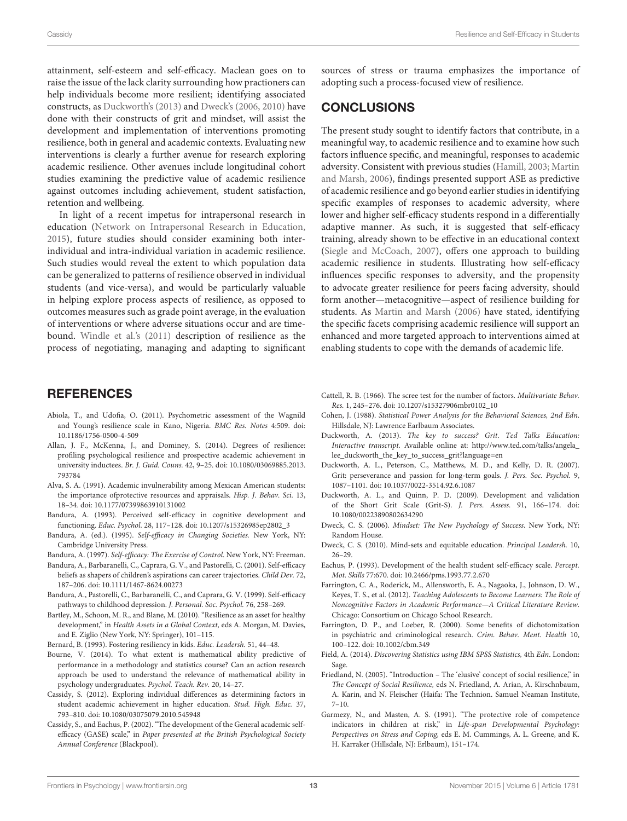attainment, self-esteem and self-efficacy. Maclean goes on to raise the issue of the lack clarity surrounding how practioners can help individuals become more resilient; identifying associated constructs, as [Duckworth's \(2013\)](#page-13-7) and [Dweck's \(2006,](#page-13-9) [2010\)](#page-13-10) have done with their constructs of grit and mindset, will assist the development and implementation of interventions promoting resilience, both in general and academic contexts. Evaluating new interventions is clearly a further avenue for research exploring academic resilience. Other avenues include longitudinal cohort studies examining the predictive value of academic resilience against outcomes including achievement, student satisfaction, retention and wellbeing.

In light of a recent impetus for intrapersonal research in education [\(Network on Intrapersonal Research in Education,](#page-14-37) [2015\)](#page-14-37), future studies should consider examining both interindividual and intra-individual variation in academic resilience. Such studies would reveal the extent to which population data can be generalized to patterns of resilience observed in individual students (and vice-versa), and would be particularly valuable in helping explore process aspects of resilience, as opposed to outcomes measures such as grade point average, in the evaluation of interventions or where adverse situations occur and are timebound. [Windle et al.'s \(2011\)](#page-14-38) description of resilience as the process of negotiating, managing and adapting to significant

#### **REFERENCES**

- <span id="page-13-0"></span>Abiola, T., and Udofia, O. (2011). Psychometric assessment of the Wagnild and Young's resilience scale in Kano, Nigeria. BMC Res. Notes 4:509. doi: 10.1186/1756-0500-4-509
- <span id="page-13-25"></span>Allan, J. F., McKenna, J., and Dominey, S. (2014). Degrees of resilience: profiling psychological resilience and prospective academic achievement in university inductees. Br. J. Guid. Couns. 42, 9–25. doi: 10.1080/03069885.2013. 793784
- <span id="page-13-5"></span>Alva, S. A. (1991). Academic invulnerability among Mexican American students: the importance ofprotective resources and appraisals. Hisp. J. Behav. Sci. 13, 18–34. doi: 10.1177/07399863910131002
- <span id="page-13-17"></span>Bandura, A. (1993). Perceived self-efficacy in cognitive development and functioning. Educ. Psychol. 28, 117–128. doi: 10.1207/s15326985ep2802\_3
- <span id="page-13-13"></span>Bandura, A. (ed.). (1995). Self-efficacy in Changing Societies. New York, NY: Cambridge University Press.
- <span id="page-13-4"></span>Bandura, A. (1997). Self-efficacy: The Exercise of Control. New York, NY: Freeman.
- <span id="page-13-15"></span>Bandura, A., Barbaranelli, C., Caprara, G. V., and Pastorelli, C. (2001). Self-efficacy beliefs as shapers of children's aspirations can career trajectories. Child Dev. 72, 187–206. doi: 10.1111/1467-8624.00273
- <span id="page-13-16"></span>Bandura, A., Pastorelli, C., Barbaranelli, C., and Caprara, G. V. (1999). Self-efficacy pathways to childhood depression. J. Personal. Soc. Psychol. 76, 258–269.
- <span id="page-13-3"></span>Bartley, M., Schoon, M. R., and Blane, M. (2010). "Resilience as an asset for healthy development," in Health Assets in a Global Context, eds A. Morgan, M. Davies, and E. Ziglio (New York, NY: Springer), 101–115.

<span id="page-13-12"></span>Bernard, B. (1993). Fostering resiliency in kids. Educ. Leadersh. 51, 44–48.

- <span id="page-13-18"></span>Bourne, V. (2014). To what extent is mathematical ability predictive of performance in a methodology and statistics course? Can an action research approach be used to understand the relevance of mathematical ability in psychology undergraduates. Psychol. Teach. Rev. 20, 14–27.
- <span id="page-13-14"></span>Cassidy, S. (2012). Exploring individual differences as determining factors in student academic achievement in higher education. Stud. High. Educ. 37, 793–810. doi: 10.1080/03075079.2010.545948
- <span id="page-13-20"></span>Cassidy, S., and Eachus, P. (2002). "The development of the General academic selfefficacy (GASE) scale," in Paper presented at the British Psychological Society Annual Conference (Blackpool).

sources of stress or trauma emphasizes the importance of adopting such a process-focused view of resilience.

# CONCLUSIONS

The present study sought to identify factors that contribute, in a meaningful way, to academic resilience and to examine how such factors influence specific, and meaningful, responses to academic adversity. Consistent with previous studies [\(Hamill, 2003;](#page-14-3) Martin and Marsh, [2006\)](#page-14-19), findings presented support ASE as predictive of academic resilience and go beyond earlier studies in identifying specific examples of responses to academic adversity, where lower and higher self-efficacy students respond in a differentially adaptive manner. As such, it is suggested that self-efficacy training, already shown to be effective in an educational context [\(Siegle and McCoach, 2007\)](#page-14-39), offers one approach to building academic resilience in students. Illustrating how self-efficacy influences specific responses to adversity, and the propensity to advocate greater resilience for peers facing adversity, should form another—metacognitive—aspect of resilience building for students. As [Martin and Marsh \(2006\)](#page-14-19) have stated, identifying the specific facets comprising academic resilience will support an enhanced and more targeted approach to interventions aimed at enabling students to cope with the demands of academic life.

- <span id="page-13-21"></span>Cattell, R. B. (1966). The scree test for the number of factors. Multivariate Behav. Res. 1, 245–276. doi: 10.1207/s15327906mbr0102\_10
- <span id="page-13-24"></span>Cohen, J. (1988). Statistical Power Analysis for the Behavioral Sciences, 2nd Edn. Hillsdale, NJ: Lawrence Earlbaum Associates.
- <span id="page-13-7"></span>Duckworth, A. (2013). The key to success? Grit. Ted Talks Education: Interactive transcript. Available online at: [http://www.ted.com/talks/angela\\_](http://www.ted.com/talks/angela_lee_duckworth_the_key_to_success_grit?language=en) [lee\\_duckworth\\_the\\_key\\_to\\_success\\_grit?language=en](http://www.ted.com/talks/angela_lee_duckworth_the_key_to_success_grit?language=en)
- <span id="page-13-6"></span>Duckworth, A. L., Peterson, C., Matthews, M. D., and Kelly, D. R. (2007). Grit: perseverance and passion for long-term goals. J. Pers. Soc. Psychol. 9, 1087–1101. doi: 10.1037/0022-3514.92.6.1087
- <span id="page-13-8"></span>Duckworth, A. L., and Quinn, P. D. (2009). Development and validation of the Short Grit Scale (Grit-S). J. Pers. Assess. 91, 166–174. doi: 10.1080/00223890802634290
- <span id="page-13-9"></span>Dweck, C. S. (2006). Mindset: The New Psychology of Success. New York, NY: Random House.
- <span id="page-13-10"></span>Dweck, C. S. (2010). Mind-sets and equitable education. Principal Leadersh. 10, 26–29.
- <span id="page-13-19"></span>Eachus, P. (1993). Development of the health student self-efficacy scale. Percept. Mot. Skills 77:670. doi: 10.2466/pms.1993.77.2.670
- <span id="page-13-11"></span>Farrington, C. A., Roderick, M., Allensworth, E. A., Nagaoka, J., Johnson, D. W., Keyes, T. S., et al. (2012). Teaching Adolescents to Become Learners: The Role of Noncognitive Factors in Academic Performance—A Critical Literature Review. Chicago: Consortium on Chicago School Research.
- <span id="page-13-23"></span>Farrington, D. P., and Loeber, R. (2000). Some benefits of dichotomization in psychiatric and criminological research. Crim. Behav. Ment. Health 10, 100–122. doi: 10.1002/cbm.349
- <span id="page-13-22"></span>Field, A. (2014). Discovering Statistics using IBM SPSS Statistics, 4th Edn. London: Sage.
- <span id="page-13-1"></span>Friedland, N. (2005). "Introduction – The 'elusive' concept of social resilience," in The Concept of Social Resilience, eds N. Friedland, A. Arian, A. Kirschnbaum, A. Karin, and N. Fleischer (Haifa: The Technion. Samuel Neaman Institute, 7–10.
- <span id="page-13-2"></span>Garmezy, N., and Masten, A. S. (1991). "The protective role of competence indicators in children at risk," in Life-span Developmental Psychology: Perspectives on Stress and Coping, eds E. M. Cummings, A. L. Greene, and K. H. Karraker (Hillsdale, NJ: Erlbaum), 151–174.